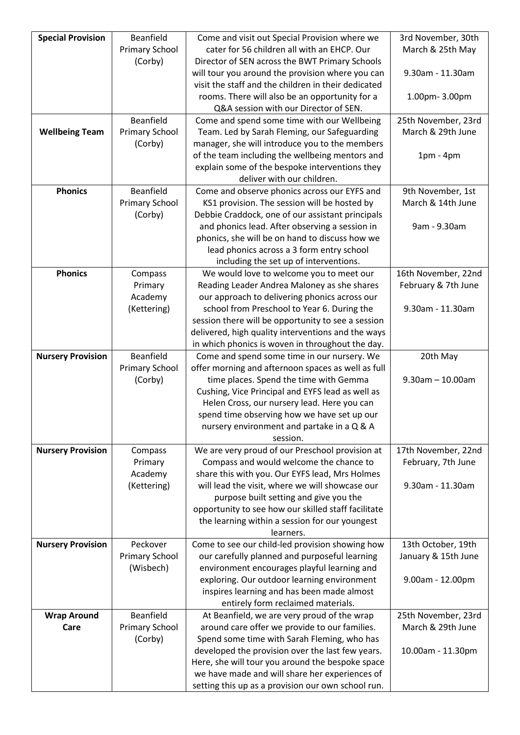| <b>Special Provision</b> | Beanfield             | Come and visit out Special Provision where we                                                     | 3rd November, 30th     |
|--------------------------|-----------------------|---------------------------------------------------------------------------------------------------|------------------------|
|                          | <b>Primary School</b> | cater for 56 children all with an EHCP. Our                                                       | March & 25th May       |
|                          | (Corby)               | Director of SEN across the BWT Primary Schools                                                    |                        |
|                          |                       | will tour you around the provision where you can                                                  | 9.30am - 11.30am       |
|                          |                       | visit the staff and the children in their dedicated                                               |                        |
|                          |                       | rooms. There will also be an opportunity for a                                                    | 1.00pm-3.00pm          |
|                          |                       | Q&A session with our Director of SEN.                                                             |                        |
|                          | Beanfield             | Come and spend some time with our Wellbeing                                                       | 25th November, 23rd    |
| <b>Wellbeing Team</b>    | <b>Primary School</b> | Team. Led by Sarah Fleming, our Safeguarding                                                      | March & 29th June      |
|                          | (Corby)               | manager, she will introduce you to the members                                                    |                        |
|                          |                       | of the team including the wellbeing mentors and                                                   | $1pm - 4pm$            |
|                          |                       | explain some of the bespoke interventions they                                                    |                        |
|                          |                       | deliver with our children.                                                                        |                        |
| <b>Phonics</b>           | Beanfield             | Come and observe phonics across our EYFS and                                                      | 9th November, 1st      |
|                          | <b>Primary School</b> | KS1 provision. The session will be hosted by                                                      | March & 14th June      |
|                          | (Corby)               | Debbie Craddock, one of our assistant principals                                                  |                        |
|                          |                       | and phonics lead. After observing a session in                                                    | 9am - 9.30am           |
|                          |                       | phonics, she will be on hand to discuss how we                                                    |                        |
|                          |                       | lead phonics across a 3 form entry school                                                         |                        |
|                          |                       | including the set up of interventions.                                                            |                        |
| <b>Phonics</b>           | Compass               | We would love to welcome you to meet our                                                          | 16th November, 22nd    |
|                          | Primary               | Reading Leader Andrea Maloney as she shares                                                       | February & 7th June    |
|                          | Academy               | our approach to delivering phonics across our                                                     |                        |
|                          | (Kettering)           | school from Preschool to Year 6. During the                                                       | 9.30am - 11.30am       |
|                          |                       | session there will be opportunity to see a session                                                |                        |
|                          |                       | delivered, high quality interventions and the ways                                                |                        |
|                          | Beanfield             | in which phonics is woven in throughout the day.                                                  |                        |
| <b>Nursery Provision</b> | <b>Primary School</b> | Come and spend some time in our nursery. We<br>offer morning and afternoon spaces as well as full | 20th May               |
|                          | (Corby)               | time places. Spend the time with Gemma                                                            | $9.30$ am $- 10.00$ am |
|                          |                       | Cushing, Vice Principal and EYFS lead as well as                                                  |                        |
|                          |                       | Helen Cross, our nursery lead. Here you can                                                       |                        |
|                          |                       | spend time observing how we have set up our                                                       |                        |
|                          |                       | nursery environment and partake in a Q & A                                                        |                        |
|                          |                       | session.                                                                                          |                        |
| <b>Nursery Provision</b> | Compass               | We are very proud of our Preschool provision at                                                   | 17th November, 22nd    |
|                          | Primary               | Compass and would welcome the chance to                                                           | February, 7th June     |
|                          | Academy               | share this with you. Our EYFS lead, Mrs Holmes                                                    |                        |
|                          | (Kettering)           | will lead the visit, where we will showcase our                                                   | 9.30am - 11.30am       |
|                          |                       | purpose built setting and give you the                                                            |                        |
|                          |                       | opportunity to see how our skilled staff facilitate                                               |                        |
|                          |                       | the learning within a session for our youngest                                                    |                        |
|                          |                       | learners.                                                                                         |                        |
| <b>Nursery Provision</b> | Peckover              | Come to see our child-led provision showing how                                                   | 13th October, 19th     |
|                          | <b>Primary School</b> | our carefully planned and purposeful learning                                                     | January & 15th June    |
|                          | (Wisbech)             | environment encourages playful learning and                                                       |                        |
|                          |                       | exploring. Our outdoor learning environment                                                       | 9.00am - 12.00pm       |
|                          |                       | inspires learning and has been made almost                                                        |                        |
|                          |                       | entirely form reclaimed materials.                                                                |                        |
| <b>Wrap Around</b>       | Beanfield             | At Beanfield, we are very proud of the wrap                                                       | 25th November, 23rd    |
| Care                     | <b>Primary School</b> | around care offer we provide to our families.                                                     | March & 29th June      |
|                          | (Corby)               | Spend some time with Sarah Fleming, who has<br>developed the provision over the last few years.   | 10.00am - 11.30pm      |
|                          |                       | Here, she will tour you around the bespoke space                                                  |                        |
|                          |                       | we have made and will share her experiences of                                                    |                        |
|                          |                       | setting this up as a provision our own school run.                                                |                        |
|                          |                       |                                                                                                   |                        |